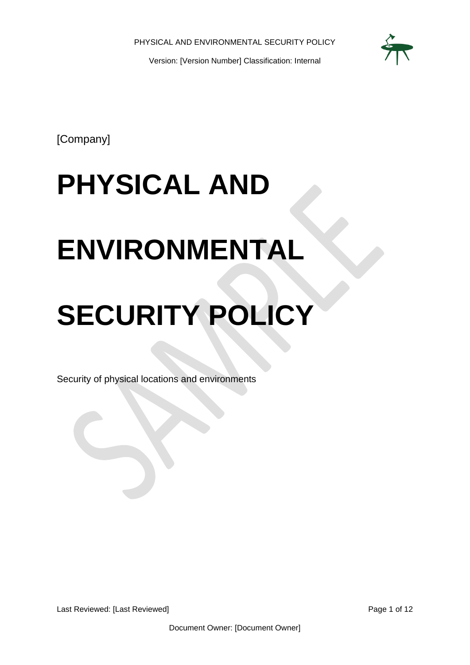

[Company]

# **PHYSICAL AND**

## **ENVIRONMENTAL**

# **SECURITY POLICY**

Security of physical locations and environments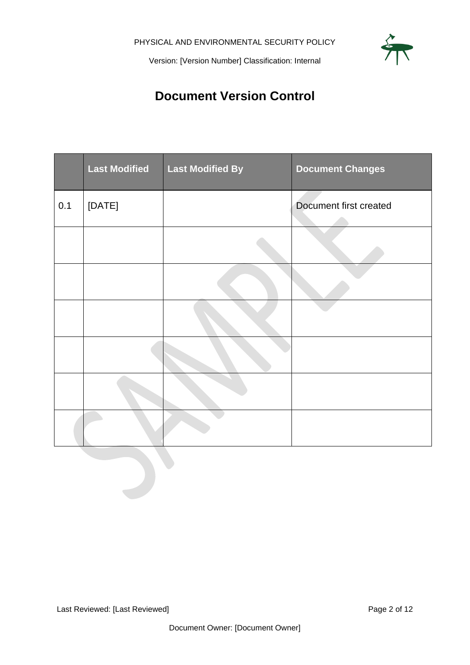## **Document Version Control**

<span id="page-1-0"></span>

|     | <b>Last Modified</b> | <b>Last Modified By</b> | <b>Document Changes</b> |
|-----|----------------------|-------------------------|-------------------------|
| 0.1 | [DATE]               |                         | Document first created  |
|     |                      |                         |                         |
|     |                      |                         |                         |
|     |                      |                         |                         |
|     |                      |                         |                         |
|     |                      |                         |                         |
|     |                      |                         |                         |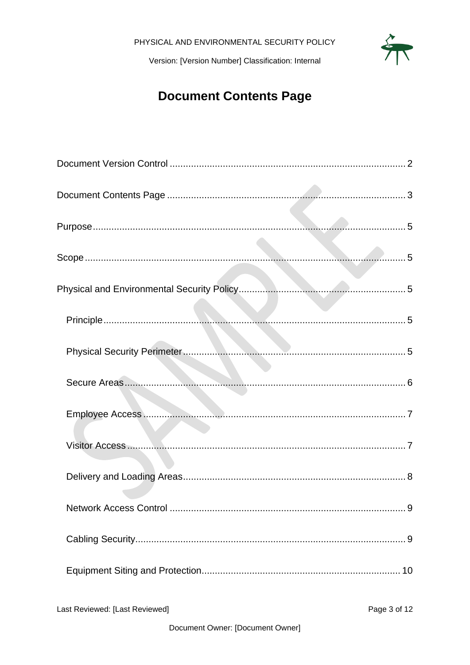

## **Document Contents Page**

<span id="page-2-0"></span>

| 9 |
|---|
|   |
|   |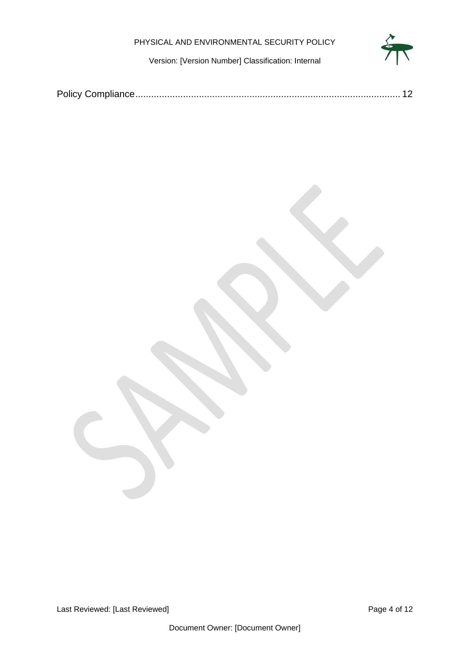

|--|--|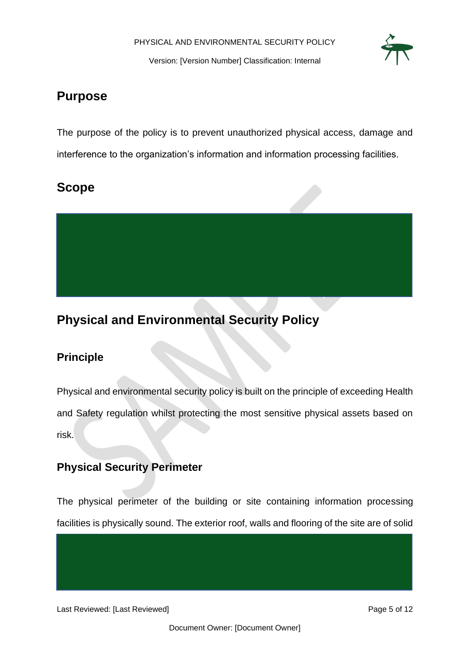

### <span id="page-4-0"></span>**Purpose**

The purpose of the policy is to prevent unauthorized physical access, damage and interference to the organization's information and information processing facilities.

### <span id="page-4-1"></span>**Scope**



## <span id="page-4-2"></span>**Physical and Environmental Security Policy**

#### <span id="page-4-3"></span>**Principle**

Physical and environmental security policy is built on the principle of exceeding Health and Safety regulation whilst protecting the most sensitive physical assets based on risk.

#### <span id="page-4-4"></span>**Physical Security Perimeter**

The physical perimeter of the building or site containing information processing facilities is physically sound. The exterior roof, walls and flooring of the site are of solid

Last Reviewed: [Last Reviewed] Page 5 of 12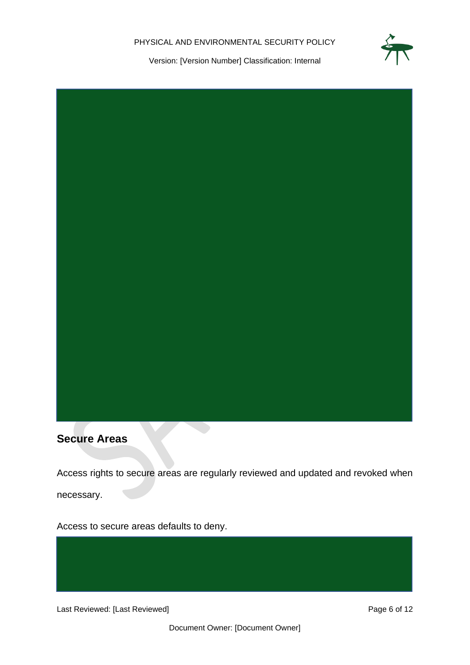



#### <span id="page-5-0"></span>**Secure Areas**

Access rights to secure areas are regularly reviewed and updated and revoked when

necessary.

Access to secure areas defaults to deny.

Last Reviewed: [Last Reviewed] example 2012 and 2012 and 2012 and 2012 and 2012 and 2012 and 2012 and 2012 and 2012 and 2012 and 2012 and 2012 and 2012 and 2012 and 2012 and 2012 and 2012 and 2012 and 2012 and 2012 and 201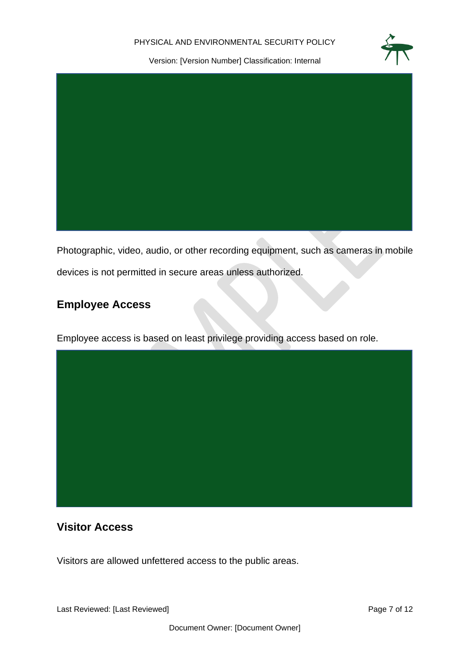



Photographic, video, audio, or other recording equipment, such as cameras in mobile devices is not permitted in secure areas unless authorized.

#### <span id="page-6-0"></span>**Employee Access**

Employee access is based on least privilege providing access based on role.

#### <span id="page-6-1"></span>**Visitor Access**

Visitors are allowed unfettered access to the public areas.

Last Reviewed: [Last Reviewed] example 2 of 12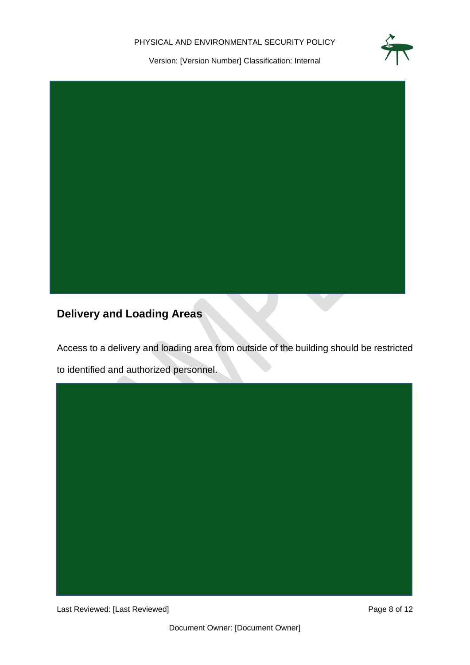



#### <span id="page-7-0"></span>**Delivery and Loading Areas**

Access to a delivery and loading area from outside of the building should be restricted

to identified and authorized personnel.

Last Reviewed: [Last Reviewed] example 2 and 2 and 2 and 2 and 2 and 2 and 2 and 2 and 2 and 2 and 2 and 2 and 2 and 2 and 2 and 2 and 2 and 2 and 2 and 2 and 2 and 2 and 2 and 2 and 2 and 2 and 2 and 2 and 2 and 2 and 2 a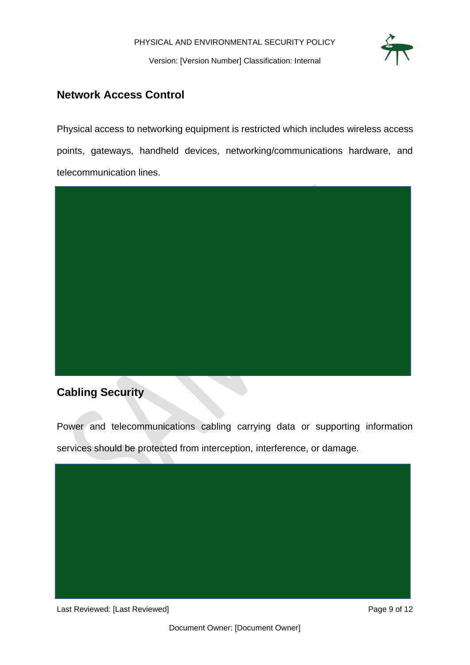

#### <span id="page-8-0"></span>**Network Access Control**

Physical access to networking equipment is restricted which includes wireless access points, gateways, handheld devices, networking/communications hardware, and telecommunication lines.



#### <span id="page-8-1"></span>**Cabling Security**

Power and telecommunications cabling carrying data or supporting information services should be protected from interception, interference, or damage.



Last Reviewed: [Last Reviewed] example 2 and 2 and 2 and 2 and 2 and 2 and 2 and 2 and 2 and 2 and 2 and 2 and 2 and 2 and 2 and 2 and 2 and 2 and 2 and 2 and 2 and 2 and 2 and 2 and 2 and 2 and 2 and 2 and 2 and 2 and 2 a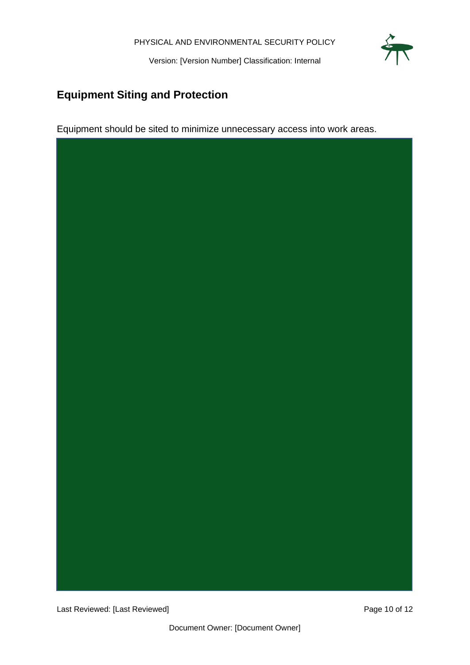

## <span id="page-9-0"></span>**Equipment Siting and Protection**

Equipment should be sited to minimize unnecessary access into work areas.

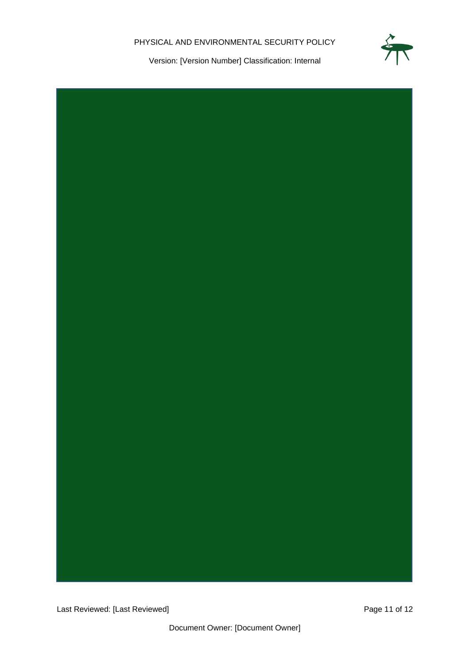